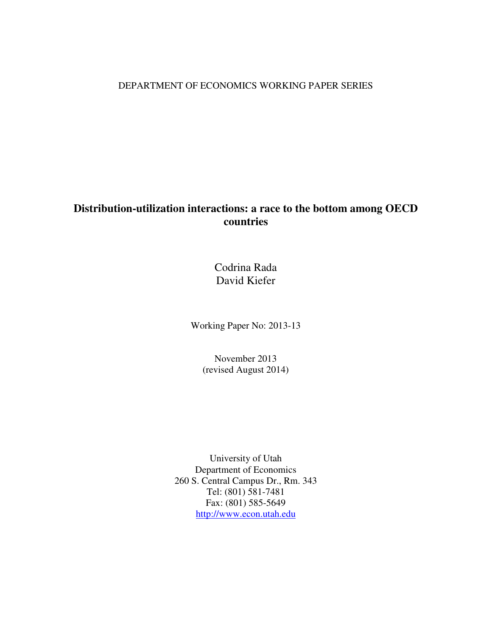# DEPARTMENT OF ECONOMICS WORKING PAPER SERIES

# **Distribution-utilization interactions: a race to the bottom among OECD countries**

Codrina Rada David Kiefer

Working Paper No: 2013-13

November 2013 (revised August 2014)

University of Utah Department of Economics 260 S. Central Campus Dr., Rm. 343 Tel: (801) 581-7481 Fax: (801) 585-5649 http://www.econ.utah.edu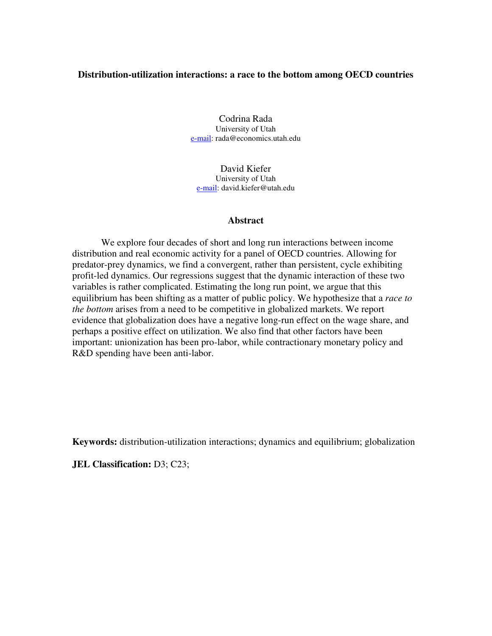# **Distribution-utilization interactions: a race to the bottom among OECD countries**

Codrina Rada University of Utah e-mail: rada@economics.utah.edu

David Kiefer University of Utah e-mail: david.kiefer@utah.edu

### **Abstract**

We explore four decades of short and long run interactions between income distribution and real economic activity for a panel of OECD countries. Allowing for predator-prey dynamics, we find a convergent, rather than persistent, cycle exhibiting profit-led dynamics. Our regressions suggest that the dynamic interaction of these two variables is rather complicated. Estimating the long run point, we argue that this equilibrium has been shifting as a matter of public policy. We hypothesize that a *race to the bottom* arises from a need to be competitive in globalized markets. We report evidence that globalization does have a negative long-run effect on the wage share, and perhaps a positive effect on utilization. We also find that other factors have been important: unionization has been pro-labor, while contractionary monetary policy and R&D spending have been anti-labor.

**Keywords:** distribution-utilization interactions; dynamics and equilibrium; globalization

**JEL Classification: D3; C23;**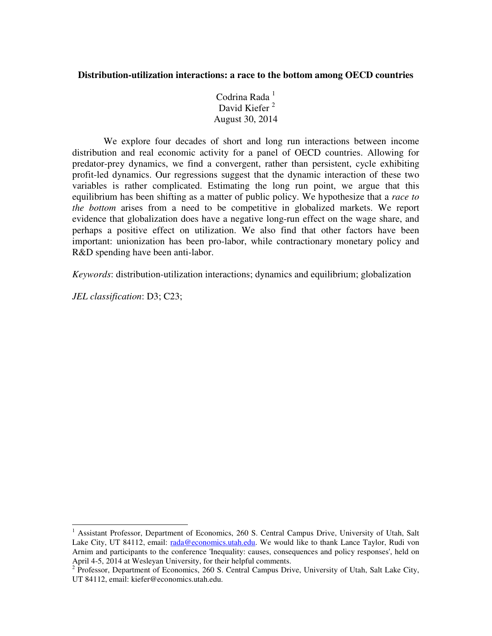# **Distribution-utilization interactions: a race to the bottom among OECD countries**

Codrina Rada<sup>1</sup> David Kiefer<sup>2</sup> August 30, 2014

 We explore four decades of short and long run interactions between income distribution and real economic activity for a panel of OECD countries. Allowing for predator-prey dynamics, we find a convergent, rather than persistent, cycle exhibiting profit-led dynamics. Our regressions suggest that the dynamic interaction of these two variables is rather complicated. Estimating the long run point, we argue that this equilibrium has been shifting as a matter of public policy. We hypothesize that a *race to the bottom* arises from a need to be competitive in globalized markets. We report evidence that globalization does have a negative long-run effect on the wage share, and perhaps a positive effect on utilization. We also find that other factors have been important: unionization has been pro-labor, while contractionary monetary policy and R&D spending have been anti-labor.

*Keywords*: distribution-utilization interactions; dynamics and equilibrium; globalization

*JEL classification*: D3; C23;

j

<sup>1</sup> Assistant Professor, Department of Economics, 260 S. Central Campus Drive, University of Utah, Salt Lake City, UT 84112, email: rada@economics.utah.edu. We would like to thank Lance Taylor, Rudi von Arnim and participants to the conference 'Inequality: causes, consequences and policy responses', held on April 4-5, 2014 at Wesleyan University, for their helpful comments.

<sup>&</sup>lt;sup>2</sup> Professor, Department of Economics, 260 S. Central Campus Drive, University of Utah, Salt Lake City, UT 84112, email: kiefer@economics.utah.edu.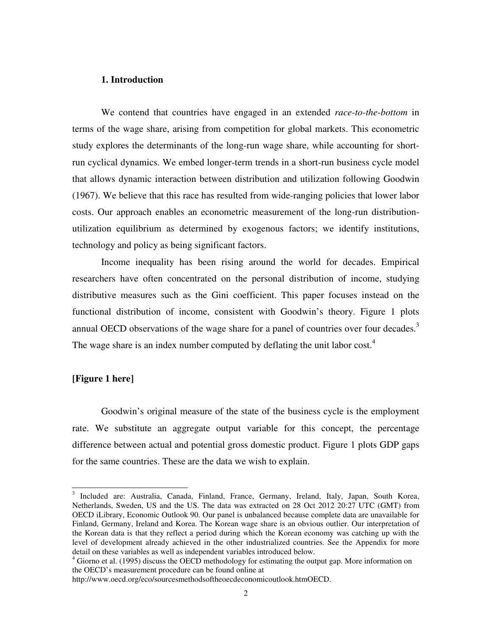### **1. Introduction**

We contend that countries have engaged in an extended *race-to-the-bottom* in terms of the wage share, arising from competition for global markets. This econometric study explores the determinants of the long-run wage share, while accounting for shortrun cyclical dynamics. We embed longer-term trends in a short-run business cycle model that allows dynamic interaction between distribution and utilization following Goodwin (1967). We believe that this race has resulted from wide-ranging policies that lower labor costs. Our approach enables an econometric measurement of the long-run distributionutilization equilibrium as determined by exogenous factors; we identify institutions, technology and policy as being significant factors.

Income inequality has been rising around the world for decades. Empirical researchers have often concentrated on the personal distribution of income, studying distributive measures such as the Gini coefficient. This paper focuses instead on the functional distribution of income, consistent with Goodwin's theory. Figure 1 plots annual OECD observations of the wage share for a panel of countries over four decades.<sup>3</sup> The wage share is an index number computed by deflating the unit labor cost.<sup>4</sup>

### **[Figure 1 here]**

 Goodwin's original measure of the state of the business cycle is the employment rate. We substitute an aggregate output variable for this concept, the percentage difference between actual and potential gross domestic product. Figure 1 plots GDP gaps for the same countries. These are the data we wish to explain.

<sup>&</sup>lt;sup>3</sup> Included are: Australia, Canada, Finland, France, Germany, Ireland, Italy, Japan, South Korea, Netherlands, Sweden, US and the US. The data was extracted on 28 Oct 2012 20:27 UTC (GMT) from OECD iLibrary, Economic Outlook 90. Our panel is unbalanced because complete data are unavailable for Finland, Germany, Ireland and Korea. The Korean wage share is an obvious outlier. Our interpretation of the Korean data is that they reflect a period during which the Korean economy was catching up with the level of development already achieved in the other industrialized countries. See the Appendix for more detail on these variables as well as independent variables introduced below.

<sup>&</sup>lt;sup>4</sup> Giorno et al. (1995) discuss the OECD methodology for estimating the output gap. More information on the OECD's measurement procedure can be found online at

http://www.oecd.org/eco/sourcesmethodsoftheoecdeconomicoutlook.htmOECD.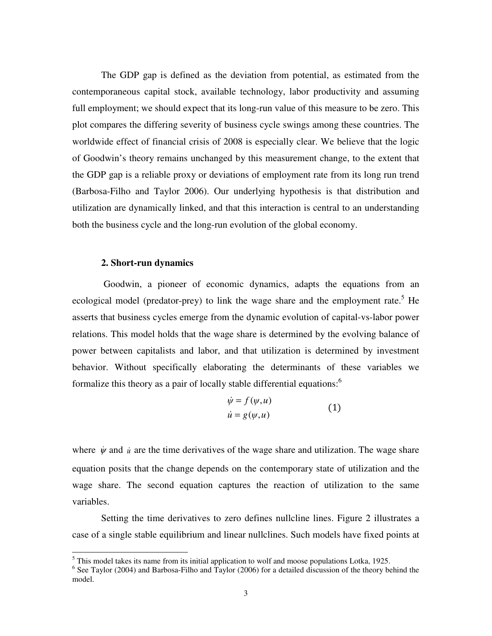The GDP gap is defined as the deviation from potential, as estimated from the contemporaneous capital stock, available technology, labor productivity and assuming full employment; we should expect that its long-run value of this measure to be zero. This plot compares the differing severity of business cycle swings among these countries. The worldwide effect of financial crisis of 2008 is especially clear. We believe that the logic of Goodwin's theory remains unchanged by this measurement change, to the extent that the GDP gap is a reliable proxy or deviations of employment rate from its long run trend (Barbosa-Filho and Taylor 2006). Our underlying hypothesis is that distribution and utilization are dynamically linked, and that this interaction is central to an understanding both the business cycle and the long-run evolution of the global economy.

# **2. Short-run dynamics**

-

 Goodwin, a pioneer of economic dynamics, adapts the equations from an ecological model (predator-prey) to link the wage share and the employment rate.<sup>5</sup> He asserts that business cycles emerge from the dynamic evolution of capital-vs-labor power relations. This model holds that the wage share is determined by the evolving balance of power between capitalists and labor, and that utilization is determined by investment behavior. Without specifically elaborating the determinants of these variables we formalize this theory as a pair of locally stable differential equations:<sup>6</sup>

$$
\dot{\psi} = f(\psi, u)
$$
  
\n
$$
\dot{u} = g(\psi, u)
$$
\n(1)

where  $\dot{\psi}$  and  $\dot{u}$  are the time derivatives of the wage share and utilization. The wage share equation posits that the change depends on the contemporary state of utilization and the wage share. The second equation captures the reaction of utilization to the same variables.

Setting the time derivatives to zero defines nullcline lines. Figure 2 illustrates a case of a single stable equilibrium and linear nullclines. Such models have fixed points at

 $<sup>5</sup>$  This model takes its name from its initial application to wolf and moose populations Lotka, 1925.</sup>

<sup>&</sup>lt;sup>6</sup> See Taylor (2004) and Barbosa-Filho and Taylor (2006) for a detailed discussion of the theory behind the model.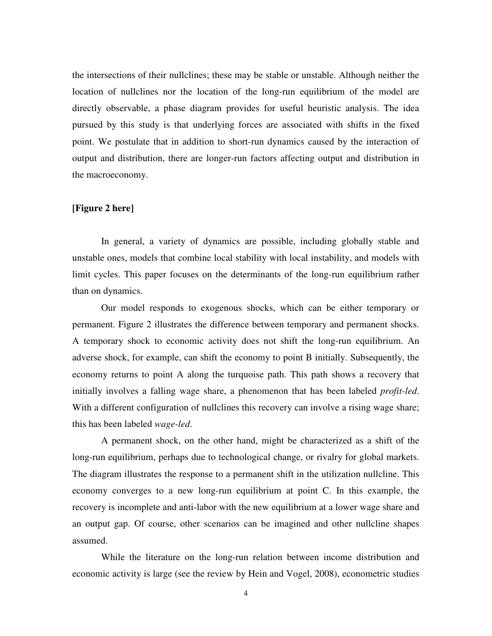the intersections of their nullclines; these may be stable or unstable. Although neither the location of nullclines nor the location of the long-run equilibrium of the model are directly observable, a phase diagram provides for useful heuristic analysis. The idea pursued by this study is that underlying forces are associated with shifts in the fixed point. We postulate that in addition to short-run dynamics caused by the interaction of output and distribution, there are longer-run factors affecting output and distribution in the macroeconomy.

# **[Figure 2 here]**

In general, a variety of dynamics are possible, including globally stable and unstable ones, models that combine local stability with local instability, and models with limit cycles. This paper focuses on the determinants of the long-run equilibrium rather than on dynamics.

Our model responds to exogenous shocks, which can be either temporary or permanent. Figure 2 illustrates the difference between temporary and permanent shocks. A temporary shock to economic activity does not shift the long-run equilibrium. An adverse shock, for example, can shift the economy to point B initially. Subsequently, the economy returns to point A along the turquoise path. This path shows a recovery that initially involves a falling wage share, a phenomenon that has been labeled *profit-led*. With a different configuration of nullclines this recovery can involve a rising wage share; this has been labeled *wage-led*.

A permanent shock, on the other hand, might be characterized as a shift of the long-run equilibrium, perhaps due to technological change, or rivalry for global markets. The diagram illustrates the response to a permanent shift in the utilization nullcline. This economy converges to a new long-run equilibrium at point C. In this example, the recovery is incomplete and anti-labor with the new equilibrium at a lower wage share and an output gap. Of course, other scenarios can be imagined and other nullcline shapes assumed.

While the literature on the long-run relation between income distribution and economic activity is large (see the review by Hein and Vogel, 2008), econometric studies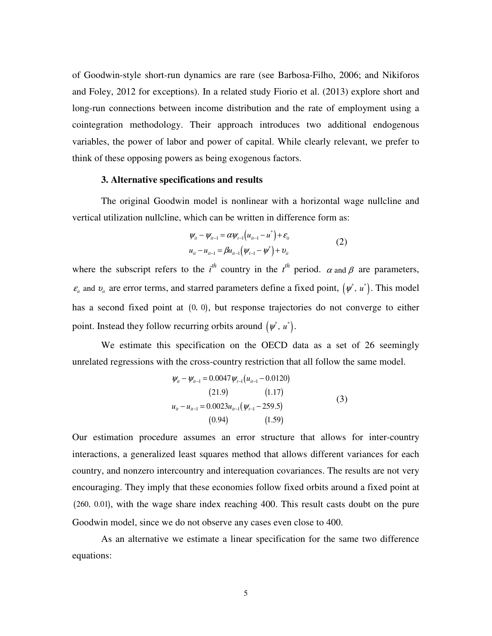of Goodwin-style short-run dynamics are rare (see Barbosa-Filho, 2006; and Nikiforos and Foley, 2012 for exceptions). In a related study Fiorio et al. (2013) explore short and long-run connections between income distribution and the rate of employment using a cointegration methodology. Their approach introduces two additional endogenous variables, the power of labor and power of capital. While clearly relevant, we prefer to think of these opposing powers as being exogenous factors.

#### **3. Alternative specifications and results**

The original Goodwin model is nonlinear with a horizontal wage nullcline and vertical utilization nullcline, which can be written in difference form as:

$$
\psi_{ii} - \psi_{ii-1} = \alpha \psi_{i-1} (u_{ii-1} - u^*) + \varepsilon_{ii}
$$
  
\n
$$
u_{ii} - u_{ii-1} = \beta u_{ii-1} (\psi_{i-1} - \psi^*) + v_{ii}
$$
\n(2)

where the subscript refers to the  $i^{th}$  country in the  $i^{th}$  period.  $\alpha$  and  $\beta$  are parameters,  $\varepsilon$ <sub>*it*</sub> and  $v$ <sub>*it*</sub> are error terms, and starred parameters define a fixed point,  $(\psi^*, u^*)$ . This model has a second fixed point at  $(0, 0)$ , but response trajectories do not converge to either point. Instead they follow recurring orbits around  $(\psi^*, u^*)$ .

 We estimate this specification on the OECD data as a set of 26 seemingly unrelated regressions with the cross-country restriction that all follow the same model.

$$
\psi_{ii} - \psi_{ii-1} = 0.0047 \psi_{i-1} (u_{ii-1} - 0.0120)
$$
\n(21.9) (1.17)  
\n
$$
u_{ii} - u_{ii-1} = 0.0023 u_{ii-1} (\psi_{i-1} - 259.5)
$$
\n(3)  
\n(0.94) (1.59)

Our estimation procedure assumes an error structure that allows for inter-country interactions, a generalized least squares method that allows different variances for each country, and nonzero intercountry and interequation covariances. The results are not very encouraging. They imply that these economies follow fixed orbits around a fixed point at (260, 0.01), with the wage share index reaching 400. This result casts doubt on the pure Goodwin model, since we do not observe any cases even close to 400.

 As an alternative we estimate a linear specification for the same two difference equations: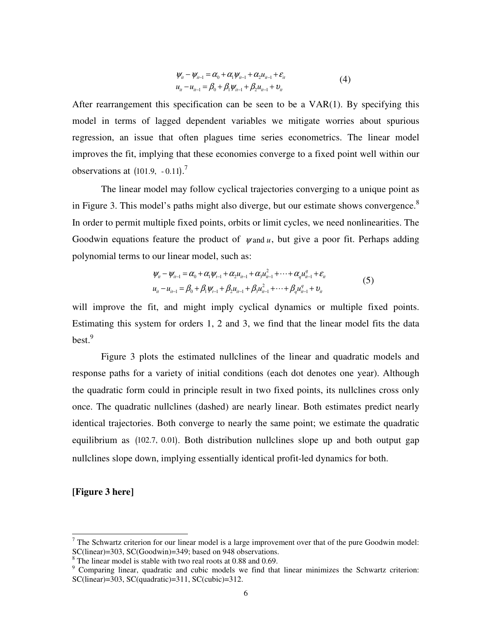$$
\psi_{ii} - \psi_{ii-1} = \alpha_0 + \alpha_1 \psi_{ii-1} + \alpha_2 u_{ii-1} + \varepsilon_{ii}
$$
  
\n
$$
u_{ii} - u_{ii-1} = \beta_0 + \beta_1 \psi_{ii-1} + \beta_2 u_{ii-1} + \nu_{ii}
$$
\n(4)

After rearrangement this specification can be seen to be a VAR(1). By specifying this model in terms of lagged dependent variables we mitigate worries about spurious regression, an issue that often plagues time series econometrics. The linear model improves the fit, implying that these economies converge to a fixed point well within our observations at  $(101.9, -0.11).$ <sup>7</sup>

 The linear model may follow cyclical trajectories converging to a unique point as in Figure 3. This model's paths might also diverge, but our estimate shows convergence.<sup>8</sup> In order to permit multiple fixed points, orbits or limit cycles, we need nonlinearities. The Goodwin equations feature the product of  $\psi$  and  $u$ , but give a poor fit. Perhaps adding polynomial terms to our linear model, such as:

$$
\psi_{ii} - \psi_{ii-1} = \alpha_0 + \alpha_1 \psi_{i-1} + \alpha_2 u_{ii-1} + \alpha_3 u_{ii-1}^2 + \dots + \alpha_q u_{ii-1}^q + \varepsilon_{ii}
$$
  
\n
$$
u_{ii} - u_{ii-1} = \beta_0 + \beta_1 \psi_{i-1} + \beta_2 u_{ii-1} + \beta_3 u_{ii-1}^2 + \dots + \beta_q u_{ii-1}^q + v_{ii}
$$
\n(5)

will improve the fit, and might imply cyclical dynamics or multiple fixed points. Estimating this system for orders 1, 2 and 3, we find that the linear model fits the data  $best.<sup>9</sup>$ 

Figure 3 plots the estimated nullclines of the linear and quadratic models and response paths for a variety of initial conditions (each dot denotes one year). Although the quadratic form could in principle result in two fixed points, its nullclines cross only once. The quadratic nullclines (dashed) are nearly linear. Both estimates predict nearly identical trajectories. Both converge to nearly the same point; we estimate the quadratic equilibrium as (102.7, 0.01). Both distribution nullclines slope up and both output gap nullclines slope down, implying essentially identical profit-led dynamics for both.

# **[Figure 3 here]**

j

 $<sup>7</sup>$  The Schwartz criterion for our linear model is a large improvement over that of the pure Goodwin model:</sup> SC(linear)=303, SC(Goodwin)=349; based on 948 observations.

<sup>&</sup>lt;sup>8</sup> The linear model is stable with two real roots at 0.88 and 0.69.

<sup>&</sup>lt;sup>9</sup> Comparing linear, quadratic and cubic models we find that linear minimizes the Schwartz criterion:  $SC(linear)=303$ ,  $SC(quadratic)=311$ ,  $SC(cubic)=312$ .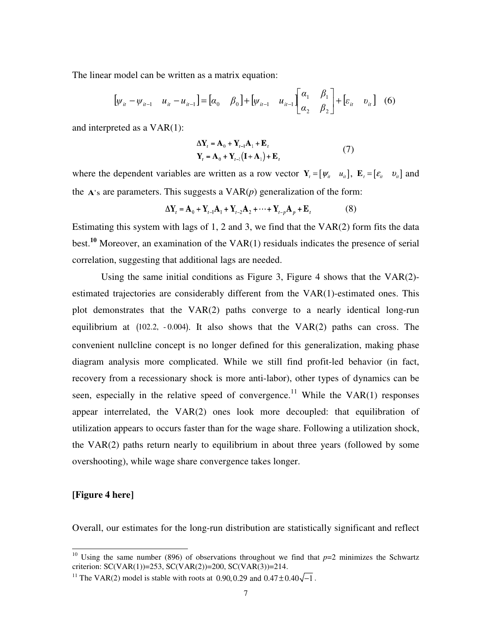The linear model can be written as a matrix equation:

$$
\begin{bmatrix} \psi_{ii} - \psi_{ii-1} & u_{ii} - u_{ii-1} \end{bmatrix} = \begin{bmatrix} \alpha_0 & \beta_0 \end{bmatrix} + \begin{bmatrix} \psi_{ii-1} & u_{ii-1} \end{bmatrix} \begin{bmatrix} \alpha_1 & \beta_1 \\ \alpha_2 & \beta_2 \end{bmatrix} + \begin{bmatrix} \varepsilon_{ii} & v_{ii} \end{bmatrix}
$$
 (6)

and interpreted as a VAR(1):

$$
\Delta \mathbf{Y}_t = \mathbf{A}_0 + \mathbf{Y}_{t-1} \mathbf{A}_1 + \mathbf{E}_t
$$
  

$$
\mathbf{Y}_t = \mathbf{A}_0 + \mathbf{Y}_{t-1} (\mathbf{I} + \mathbf{A}_1) + \mathbf{E}_t
$$
 (7)

where the dependent variables are written as a row vector  $\mathbf{Y}_t = [\mathbf{\psi}_t \quad u_{i_t}]$ ,  $\mathbf{E}_t = [\mathbf{\varepsilon}_t \quad v_{i_t}]$  and the  $A$ 's are parameters. This suggests a  $VAR(p)$  generalization of the form:

 $\Delta Y_t = A_0 + Y_{t-1}A_1 + Y_{t-2}A_2 + \cdots + Y_{t-n}A_n + E_t$  (8)

Estimating this system with lags of 1, 2 and 3, we find that the  $VAR(2)$  form fits the data best.**<sup>10</sup>** Moreover, an examination of the VAR(1) residuals indicates the presence of serial correlation, suggesting that additional lags are needed.

Using the same initial conditions as Figure 3, Figure 4 shows that the  $VAR(2)$ estimated trajectories are considerably different from the VAR(1)-estimated ones. This plot demonstrates that the VAR(2) paths converge to a nearly identical long-run equilibrium at (102.2, -0.004). It also shows that the VAR(2) paths can cross. The convenient nullcline concept is no longer defined for this generalization, making phase diagram analysis more complicated. While we still find profit-led behavior (in fact, recovery from a recessionary shock is more anti-labor), other types of dynamics can be seen, especially in the relative speed of convergence.<sup>11</sup> While the VAR $(1)$  responses appear interrelated, the VAR(2) ones look more decoupled: that equilibration of utilization appears to occurs faster than for the wage share. Following a utilization shock, the VAR(2) paths return nearly to equilibrium in about three years (followed by some overshooting), while wage share convergence takes longer.

# **[Figure 4 here]**

j

Overall, our estimates for the long-run distribution are statistically significant and reflect

<sup>&</sup>lt;sup>10</sup> Using the same number (896) of observations throughout we find that  $p=2$  minimizes the Schwartz criterion: SC(VAR(1))=253, SC(VAR(2))=200, SC(VAR(3))=214.

<sup>&</sup>lt;sup>11</sup> The VAR(2) model is stable with roots at 0.90, 0.29 and  $0.47 \pm 0.40\sqrt{-1}$ .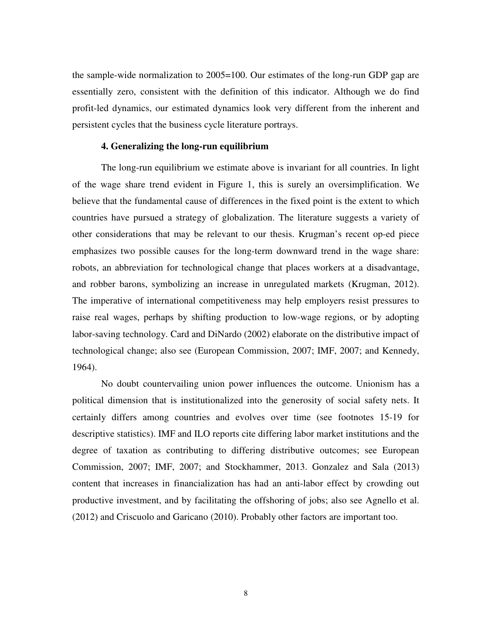the sample-wide normalization to 2005=100. Our estimates of the long-run GDP gap are essentially zero, consistent with the definition of this indicator. Although we do find profit-led dynamics, our estimated dynamics look very different from the inherent and persistent cycles that the business cycle literature portrays.

### **4. Generalizing the long-run equilibrium**

The long-run equilibrium we estimate above is invariant for all countries. In light of the wage share trend evident in Figure 1, this is surely an oversimplification. We believe that the fundamental cause of differences in the fixed point is the extent to which countries have pursued a strategy of globalization. The literature suggests a variety of other considerations that may be relevant to our thesis. Krugman's recent op-ed piece emphasizes two possible causes for the long-term downward trend in the wage share: robots, an abbreviation for technological change that places workers at a disadvantage, and robber barons, symbolizing an increase in unregulated markets (Krugman, 2012). The imperative of international competitiveness may help employers resist pressures to raise real wages, perhaps by shifting production to low-wage regions, or by adopting labor-saving technology. Card and DiNardo (2002) elaborate on the distributive impact of technological change; also see (European Commission, 2007; IMF, 2007; and Kennedy, 1964).

No doubt countervailing union power influences the outcome. Unionism has a political dimension that is institutionalized into the generosity of social safety nets. It certainly differs among countries and evolves over time (see footnotes 15-19 for descriptive statistics). IMF and ILO reports cite differing labor market institutions and the degree of taxation as contributing to differing distributive outcomes; see European Commission, 2007; IMF, 2007; and Stockhammer, 2013. Gonzalez and Sala (2013) content that increases in financialization has had an anti-labor effect by crowding out productive investment, and by facilitating the offshoring of jobs; also see Agnello et al. (2012) and Criscuolo and Garicano (2010). Probably other factors are important too.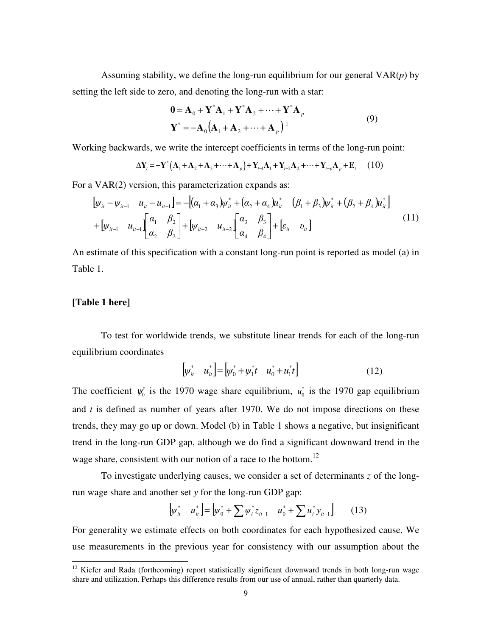Assuming stability, we define the long-run equilibrium for our general VAR(*p*) by setting the left side to zero, and denoting the long-run with a star:

$$
\mathbf{0} = \mathbf{A}_0 + \mathbf{Y}^* \mathbf{A}_1 + \mathbf{Y}^* \mathbf{A}_2 + \dots + \mathbf{Y}^* \mathbf{A}_p
$$
  

$$
\mathbf{Y}^* = -\mathbf{A}_0 (\mathbf{A}_1 + \mathbf{A}_2 + \dots + \mathbf{A}_p)^{-1}
$$
 (9)

Working backwards, we write the intercept coefficients in terms of the long-run point:

$$
\Delta Y_t = -Y^* (A_1 + A_2 + A_3 + \dots + A_p) + Y_{t-1} A_1 + Y_{t-2} A_2 + \dots + Y_{t-p} A_p + E_t
$$
 (10)

For a VAR(2) version, this parameterization expands as:

$$
[\psi_{it} - \psi_{it-1} \quad u_{it} - u_{it-1}] = -[(\alpha_1 + \alpha_3)\psi_{it}^* + (\alpha_2 + \alpha_4)\mu_{it}^* \quad (\beta_1 + \beta_3)\psi_{it}^* + (\beta_2 + \beta_4)\mu_{it}^*]
$$
  
+ 
$$
[\psi_{it-1} \quad u_{it-1}] \begin{bmatrix} \alpha_1 & \beta_2 \\ \alpha_2 & \beta_2 \end{bmatrix} + [\psi_{it-2} \quad u_{it-2}] \begin{bmatrix} \alpha_3 & \beta_3 \\ \alpha_4 & \beta_4 \end{bmatrix} + [\varepsilon_{it} \quad v_{it}]
$$
 (11)

An estimate of this specification with a constant long-run point is reported as model (a) in Table 1.

# **[Table 1 here]**

j

To test for worldwide trends, we substitute linear trends for each of the long-run equilibrium coordinates

$$
\begin{bmatrix} \psi_{it}^* & u_{it}^* \end{bmatrix} = \begin{bmatrix} \psi_0^* + \psi_1^* t & u_0^* + u_1^* t \end{bmatrix}
$$
 (12)

The coefficient  $\psi_0^*$  is the 1970 wage share equilibrium,  $u_0^*$  is the 1970 gap equilibrium and *t* is defined as number of years after 1970. We do not impose directions on these trends, they may go up or down. Model (b) in Table 1 shows a negative, but insignificant trend in the long-run GDP gap, although we do find a significant downward trend in the wage share, consistent with our notion of a race to the bottom.<sup>12</sup>

To investigate underlying causes, we consider a set of determinants *z* of the longrun wage share and another set *y* for the long-run GDP gap:

$$
\begin{bmatrix} \psi_{it}^* & u_{it}^* \end{bmatrix} = \begin{bmatrix} \psi_0^* + \sum \psi_i^* z_{it-1} & u_0^* + \sum u_i^* y_{it-1} \end{bmatrix}
$$
 (13)

For generality we estimate effects on both coordinates for each hypothesized cause. We use measurements in the previous year for consistency with our assumption about the

 $12$  Kiefer and Rada (forthcoming) report statistically significant downward trends in both long-run wage share and utilization. Perhaps this difference results from our use of annual, rather than quarterly data.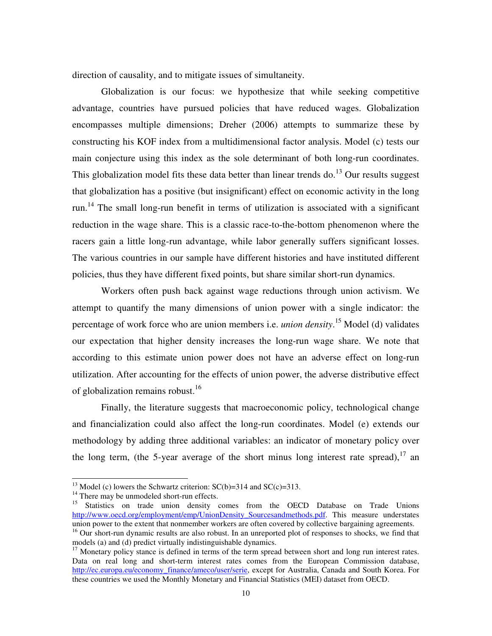direction of causality, and to mitigate issues of simultaneity.

 Globalization is our focus: we hypothesize that while seeking competitive advantage, countries have pursued policies that have reduced wages. Globalization encompasses multiple dimensions; Dreher (2006) attempts to summarize these by constructing his KOF index from a multidimensional factor analysis. Model (c) tests our main conjecture using this index as the sole determinant of both long-run coordinates. This globalization model fits these data better than linear trends do.<sup>13</sup> Our results suggest that globalization has a positive (but insignificant) effect on economic activity in the long run.<sup>14</sup> The small long-run benefit in terms of utilization is associated with a significant reduction in the wage share. This is a classic race-to-the-bottom phenomenon where the racers gain a little long-run advantage, while labor generally suffers significant losses. The various countries in our sample have different histories and have instituted different policies, thus they have different fixed points, but share similar short-run dynamics.

 Workers often push back against wage reductions through union activism. We attempt to quantify the many dimensions of union power with a single indicator: the percentage of work force who are union members i.e. *union density*. <sup>15</sup> Model (d) validates our expectation that higher density increases the long-run wage share. We note that according to this estimate union power does not have an adverse effect on long-run utilization. After accounting for the effects of union power, the adverse distributive effect of globalization remains robust.<sup>16</sup>

Finally, the literature suggests that macroeconomic policy, technological change and financialization could also affect the long-run coordinates. Model (e) extends our methodology by adding three additional variables: an indicator of monetary policy over the long term, (the 5-year average of the short minus long interest rate spread),  $17$  an

j

<sup>&</sup>lt;sup>13</sup> Model (c) lowers the Schwartz criterion:  $SC(b)=314$  and  $SC(c)=313$ .

<sup>&</sup>lt;sup>14</sup> There may be unmodeled short-run effects.

<sup>&</sup>lt;sup>15</sup> Statistics on trade union density comes from the OECD Database on Trade Unions http://www.oecd.org/employment/emp/UnionDensity\_Sourcesandmethods.pdf. This measure understates union power to the extent that nonmember workers are often covered by collective bargaining agreements.

<sup>&</sup>lt;sup>16</sup> Our short-run dynamic results are also robust. In an unreported plot of responses to shocks, we find that models (a) and (d) predict virtually indistinguishable dynamics.

 $17$  Monetary policy stance is defined in terms of the term spread between short and long run interest rates. Data on real long and short-term interest rates comes from the European Commission database, http://ec.europa.eu/economy\_finance/ameco/user/serie, except for Australia, Canada and South Korea. For these countries we used the Monthly Monetary and Financial Statistics (MEI) dataset from OECD.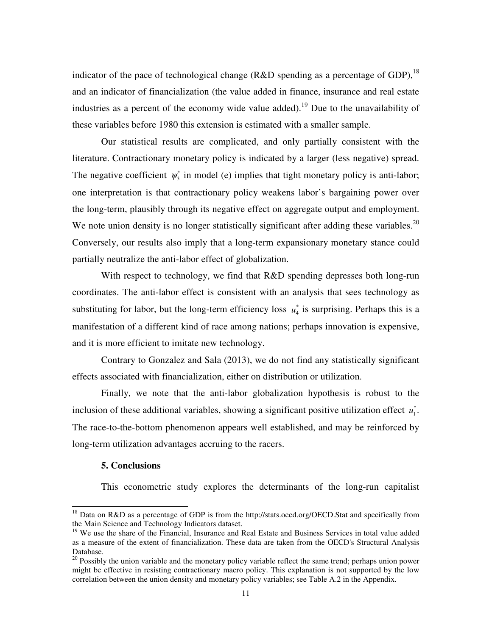indicator of the pace of technological change (R&D spending as a percentage of GDP),  $^{18}$ and an indicator of financialization (the value added in finance, insurance and real estate industries as a percent of the economy wide value added).<sup>19</sup> Due to the unavailability of these variables before 1980 this extension is estimated with a smaller sample.

Our statistical results are complicated, and only partially consistent with the literature. Contractionary monetary policy is indicated by a larger (less negative) spread. The negative coefficient  $\psi_3^*$  in model (e) implies that tight monetary policy is anti-labor; one interpretation is that contractionary policy weakens labor's bargaining power over the long-term, plausibly through its negative effect on aggregate output and employment. We note union density is no longer statistically significant after adding these variables.<sup>20</sup> Conversely, our results also imply that a long-term expansionary monetary stance could partially neutralize the anti-labor effect of globalization.

With respect to technology, we find that R&D spending depresses both long-run coordinates. The anti-labor effect is consistent with an analysis that sees technology as substituting for labor, but the long-term efficiency loss  $u_4^*$  is surprising. Perhaps this is a manifestation of a different kind of race among nations; perhaps innovation is expensive, and it is more efficient to imitate new technology.

Contrary to Gonzalez and Sala (2013), we do not find any statistically significant effects associated with financialization, either on distribution or utilization.

Finally, we note that the anti-labor globalization hypothesis is robust to the inclusion of these additional variables, showing a significant positive utilization effect  $u_1^*$ . The race-to-the-bottom phenomenon appears well established, and may be reinforced by long-term utilization advantages accruing to the racers.

### **5. Conclusions**

j

This econometric study explores the determinants of the long-run capitalist

<sup>&</sup>lt;sup>18</sup> Data on R&D as a percentage of GDP is from the http://stats.oecd.org/OECD.Stat and specifically from the Main Science and Technology Indicators dataset.

<sup>&</sup>lt;sup>19</sup> We use the share of the Financial, Insurance and Real Estate and Business Services in total value added as a measure of the extent of financialization. These data are taken from the OECD's Structural Analysis Database.

<sup>&</sup>lt;sup>20</sup> Possibly the union variable and the monetary policy variable reflect the same trend; perhaps union power might be effective in resisting contractionary macro policy. This explanation is not supported by the low correlation between the union density and monetary policy variables; see Table A.2 in the Appendix.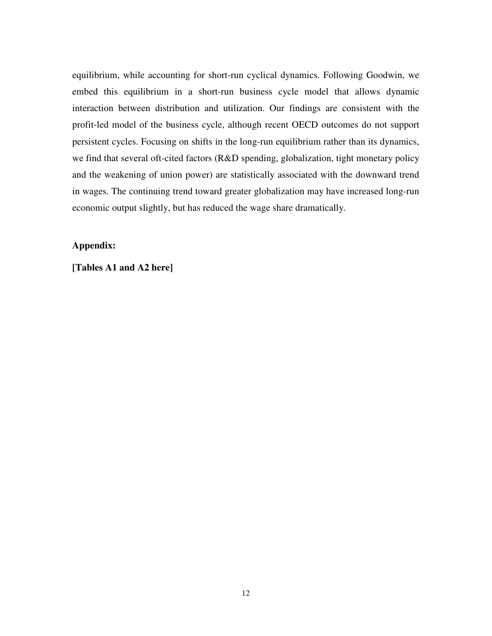equilibrium, while accounting for short-run cyclical dynamics. Following Goodwin, we embed this equilibrium in a short-run business cycle model that allows dynamic interaction between distribution and utilization. Our findings are consistent with the profit-led model of the business cycle, although recent OECD outcomes do not support persistent cycles. Focusing on shifts in the long-run equilibrium rather than its dynamics, we find that several oft-cited factors (R&D spending, globalization, tight monetary policy and the weakening of union power) are statistically associated with the downward trend in wages. The continuing trend toward greater globalization may have increased long-run economic output slightly, but has reduced the wage share dramatically.

# **Appendix:**

**[Tables A1 and A2 here]**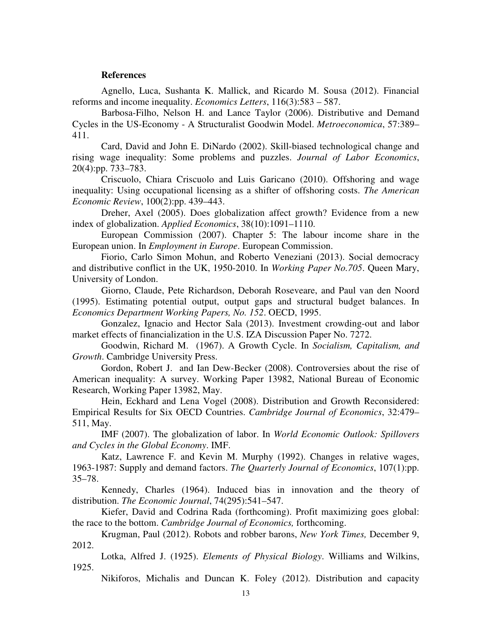### **References**

Agnello, Luca, Sushanta K. Mallick, and Ricardo M. Sousa (2012). Financial reforms and income inequality. *Economics Letters*, 116(3):583 – 587.

Barbosa-Filho, Nelson H. and Lance Taylor (2006). Distributive and Demand Cycles in the US-Economy - A Structuralist Goodwin Model. *Metroeconomica*, 57:389– 411.

Card, David and John E. DiNardo (2002). Skill-biased technological change and rising wage inequality: Some problems and puzzles. *Journal of Labor Economics*, 20(4):pp. 733–783.

Criscuolo, Chiara Criscuolo and Luis Garicano (2010). Offshoring and wage inequality: Using occupational licensing as a shifter of offshoring costs. *The American Economic Review*, 100(2):pp. 439–443.

Dreher, Axel (2005). Does globalization affect growth? Evidence from a new index of globalization. *Applied Economics*, 38(10):1091–1110.

European Commission (2007). Chapter 5: The labour income share in the European union. In *Employment in Europe*. European Commission.

Fiorio, Carlo Simon Mohun, and Roberto Veneziani (2013). Social democracy and distributive conflict in the UK, 1950-2010. In *Working Paper No.705*. Queen Mary, University of London.

Giorno, Claude, Pete Richardson, Deborah Roseveare, and Paul van den Noord (1995). Estimating potential output, output gaps and structural budget balances. In *Economics Department Working Papers, No. 152*. OECD, 1995.

Gonzalez, Ignacio and Hector Sala (2013). Investment crowding-out and labor market effects of financialization in the U.S. IZA Discussion Paper No. 7272.

Goodwin, Richard M. (1967). A Growth Cycle. In *Socialism, Capitalism, and Growth*. Cambridge University Press.

Gordon, Robert J. and Ian Dew-Becker (2008). Controversies about the rise of American inequality: A survey. Working Paper 13982, National Bureau of Economic Research, Working Paper 13982, May.

Hein, Eckhard and Lena Vogel (2008). Distribution and Growth Reconsidered: Empirical Results for Six OECD Countries. *Cambridge Journal of Economics*, 32:479– 511, May.

IMF (2007). The globalization of labor. In *World Economic Outlook: Spillovers and Cycles in the Global Economy*. IMF.

Katz, Lawrence F. and Kevin M. Murphy (1992). Changes in relative wages, 1963-1987: Supply and demand factors. *The Quarterly Journal of Economics*, 107(1):pp. 35–78.

Kennedy, Charles (1964). Induced bias in innovation and the theory of distribution. *The Economic Journal*, 74(295):541–547.

Kiefer, David and Codrina Rada (forthcoming). Profit maximizing goes global: the race to the bottom. *Cambridge Journal of Economics,* forthcoming.

Krugman, Paul (2012). Robots and robber barons, *New York Times,* December 9, 2012.

Lotka, Alfred J. (1925). *Elements of Physical Biology*. Williams and Wilkins, 1925.

Nikiforos, Michalis and Duncan K. Foley (2012). Distribution and capacity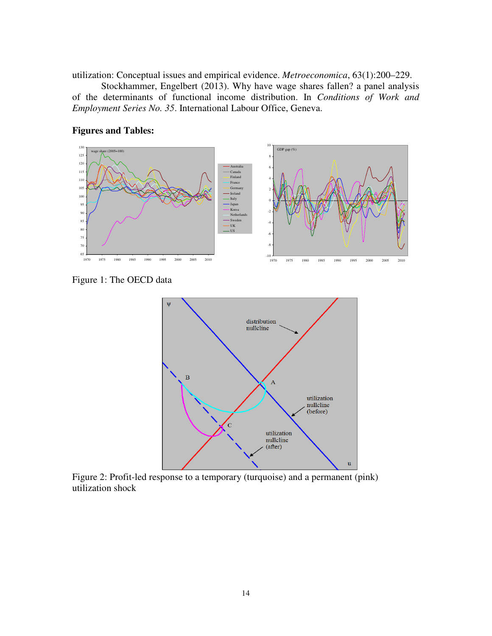utilization: Conceptual issues and empirical evidence. *Metroeconomica*, 63(1):200–229.

Stockhammer, Engelbert (2013). Why have wage shares fallen? a panel analysis of the determinants of functional income distribution. In *Conditions of Work and Employment Series No. 35*. International Labour Office, Geneva.



# **Figures and Tables:**

Figure 1: The OECD data



Figure 2: Profit-led response to a temporary (turquoise) and a permanent (pink) utilization shock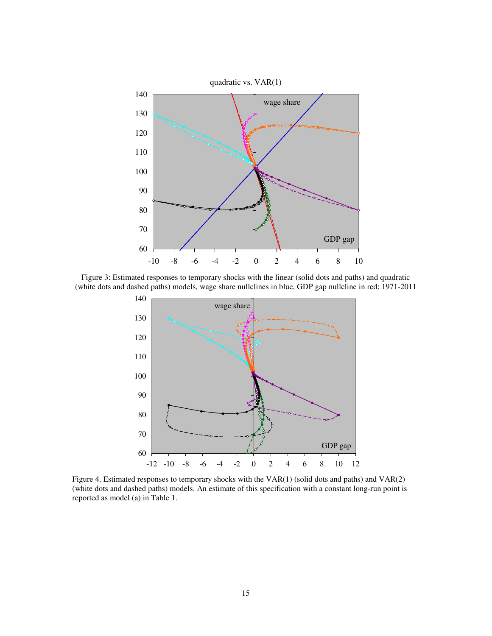

Figure 3: Estimated responses to temporary shocks with the linear (solid dots and paths) and quadratic (white dots and dashed paths) models, wage share nullclines in blue, GDP gap nullcline in red; 1971-2011



Figure 4. Estimated responses to temporary shocks with the VAR(1) (solid dots and paths) and VAR(2) (white dots and dashed paths) models. An estimate of this specification with a constant long-run point is reported as model (a) in Table 1.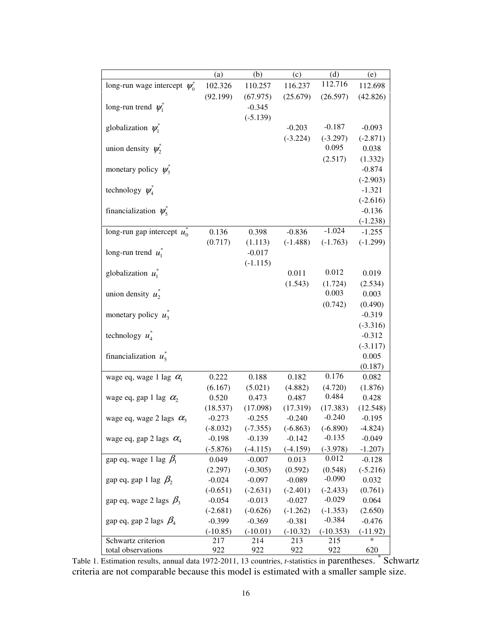|                                    | (a)        | (b)        | (c)        | (d)         | (e)        |
|------------------------------------|------------|------------|------------|-------------|------------|
| long-run wage intercept $\psi_0^*$ | 102.326    | 110.257    | 116.237    | 112.716     | 112.698    |
|                                    | (92.199)   | (67.975)   | (25.679)   | (26.597)    | (42.826)   |
| long-run trend $\psi_1^*$          |            | $-0.345$   |            |             |            |
|                                    |            | $(-5.139)$ |            |             |            |
| globalization $\psi_1^*$           |            |            | $-0.203$   | $-0.187$    | $-0.093$   |
|                                    |            |            | $(-3.224)$ | $(-3.297)$  | $(-2.871)$ |
| union density $\psi^*$             |            |            |            | 0.095       | 0.038      |
|                                    |            |            |            | (2.517)     | (1.332)    |
| monetary policy $\psi_3$           |            |            |            |             | $-0.874$   |
|                                    |            |            |            |             | $(-2.903)$ |
| technology $\psi_4^*$              |            |            |            |             | $-1.321$   |
|                                    |            |            |            |             | $(-2.616)$ |
| financialization $\psi_s^*$        |            |            |            |             | $-0.136$   |
|                                    |            |            |            |             | $(-1.238)$ |
| long-run gap intercept $u_0^*$     | 0.136      | 0.398      | $-0.836$   | $-1.024$    | $-1.255$   |
|                                    | (0.717)    | (1.113)    | $(-1.488)$ | $(-1.763)$  | $(-1.299)$ |
| long-run trend $u_1^*$             |            | $-0.017$   |            |             |            |
|                                    |            | $(-1.115)$ |            |             |            |
| globalization $u_1^*$              |            |            | 0.011      | 0.012       | 0.019      |
|                                    |            |            | (1.543)    | (1.724)     | (2.534)    |
| union density $u_2^*$              |            |            |            | 0.003       | 0.003      |
|                                    |            |            |            | (0.742)     | (0.490)    |
| monetary policy $u_3^*$            |            |            |            |             | $-0.319$   |
|                                    |            |            |            |             | $(-3.316)$ |
| technology $u^*$                   |            |            |            |             | $-0.312$   |
|                                    |            |            |            |             | $(-3.117)$ |
| financialization $u^*$             |            |            |            |             | 0.005      |
|                                    |            |            |            |             | (0.187)    |
| wage eq, wage 1 lag $\alpha_1$     | 0.222      | 0.188      | 0.182      | 0.176       | 0.082      |
|                                    | (6.167)    | (5.021)    | (4.882)    | (4.720)     | (1.876)    |
| wage eq, gap 1 lag $\alpha_2$      | 0.520      | 0.473      | 0.487      | 0.484       | 0.428      |
|                                    | (18.537)   | (17.098)   | (17.319)   | (17.383)    | (12.548)   |
| wage eq, wage 2 lags $\alpha_3$    | $-0.273$   | $-0.255$   | $-0.240$   | $-0.240$    | $-0.195$   |
|                                    | $(-8.032)$ | $(-7.355)$ | $(-6.863)$ | $(-6.890)$  | $-4.824)$  |
| wage eq, gap 2 lags $\alpha_4$     | $-0.198$   | $-0.139$   | $-0.142$   | $-0.135$    | $-0.049$   |
|                                    | $(-5.876)$ | $(-4.115)$ | $(-4.159)$ | $(-3.978)$  | $-1.207$ ) |
| gap eq, wage 1 lag $\beta_1$       | 0.049      | $-0.007$   | 0.013      | 0.012       | $-0.128$   |
|                                    | (2.297)    | $(-0.305)$ | (0.592)    | (0.548)     | $(-5.216)$ |
| gap eq, gap 1 lag $\beta_2$        | $-0.024$   | $-0.097$   | $-0.089$   | $-0.090$    | 0.032      |
|                                    | $(-0.651)$ | $(-2.631)$ | $(-2.401)$ | $(-2.433)$  | (0.761)    |
| gap eq, wage 2 lags $\beta_3$      | $-0.054$   | $-0.013$   | $-0.027$   | $-0.029$    | 0.064      |
|                                    | $(-2.681)$ | $(-0.626)$ | $(-1.262)$ | $(-1.353)$  | (2.650)    |
| gap eq, gap 2 lags $\beta_4$       | $-0.399$   | $-0.369$   | $-0.381$   | $-0.384$    | $-0.476$   |
|                                    | $(-10.85)$ | $(-10.01)$ | $(-10.32)$ | $(-10.353)$ | $(-11.92)$ |
| Schwartz criterion                 | 217        | 214        | 213        | 215         | *          |
| total observations                 | 922        | 922        | 922        | 922         | 620        |

Table 1. Estimation results, annual data 1972-2011, 13 countries, *t*-statistics in parentheses. <sup>\*</sup> Schwartz criteria are not comparable because this model is estimated with a smaller sample size.